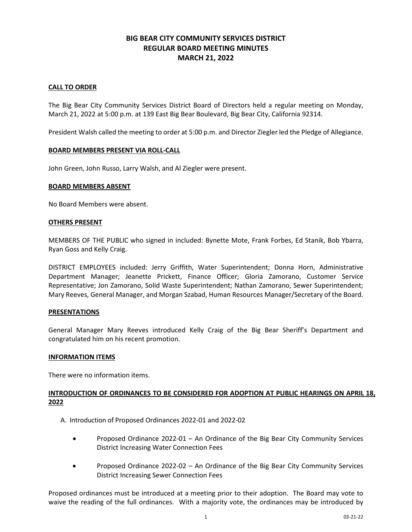## **BIG BEAR CITY COMMUNITY SERVICES DISTRICT REGULAR BOARD MEETING MINUTES MARCH 21, 2022**

### **CALL TO ORDER**

The Big Bear City Community Services District Board of Directors held a regular meeting on Monday, March 21, 2022 at 5:00 p.m. at 139 East Big Bear Boulevard, Big Bear City, California 92314.

President Walsh called the meeting to order at 5:00 p.m. and Director Ziegler led the Pledge of Allegiance.

### **BOARD MEMBERS PRESENT VIA ROLL-CALL**

John Green, John Russo, Larry Walsh, and Al Ziegler were present.

### **BOARD MEMBERS ABSENT**

No Board Members were absent.

#### **OTHERS PRESENT**

MEMBERS OF THE PUBLIC who signed in included: Bynette Mote, Frank Forbes, Ed Stanik, Bob Ybarra, Ryan Goss and Kelly Craig.

DISTRICT EMPLOYEES included: Jerry Griffith, Water Superintendent; Donna Horn, Administrative Department Manager; Jeanette Prickett, Finance Officer; Gloria Zamorano, Customer Service Representative; Jon Zamorano, Solid Waste Superintendent; Nathan Zamorano, Sewer Superintendent; Mary Reeves, General Manager, and Morgan Szabad, Human Resources Manager/Secretary of the Board.

### **PRESENTATIONS**

General Manager Mary Reeves introduced Kelly Craig of the Big Bear Sheriff's Department and congratulated him on his recent promotion.

### **INFORMATION ITEMS**

There were no information items.

## **INTRODUCTION OF ORDINANCES TO BE CONSIDERED FOR ADOPTION AT PUBLIC HEARINGS ON APRIL 18, 2022**

- A. Introduction of Proposed Ordinances 2022-01 and 2022-02
	- Proposed Ordinance 2022-01 An Ordinance of the Big Bear City Community Services District Increasing Water Connection Fees
	- Proposed Ordinance 2022-02 An Ordinance of the Big Bear City Community Services District Increasing Sewer Connection Fees

Proposed ordinances must be introduced at a meeting prior to their adoption. The Board may vote to waive the reading of the full ordinances. With a majority vote, the ordinances may be introduced by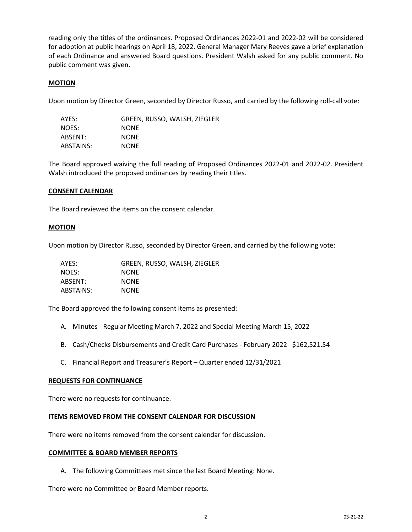reading only the titles of the ordinances. Proposed Ordinances 2022-01 and 2022-02 will be considered for adoption at public hearings on April 18, 2022. General Manager Mary Reeves gave a brief explanation of each Ordinance and answered Board questions. President Walsh asked for any public comment. No public comment was given.

### **MOTION**

Upon motion by Director Green, seconded by Director Russo, and carried by the following roll-call vote:

| AYES:     | GREEN, RUSSO, WALSH, ZIEGLER |
|-----------|------------------------------|
| NOES:     | <b>NONE</b>                  |
| ABSENT:   | <b>NONE</b>                  |
| ABSTAINS: | <b>NONE</b>                  |

The Board approved waiving the full reading of Proposed Ordinances 2022-01 and 2022-02. President Walsh introduced the proposed ordinances by reading their titles.

### **CONSENT CALENDAR**

The Board reviewed the items on the consent calendar.

### **MOTION**

Upon motion by Director Russo, seconded by Director Green, and carried by the following vote:

| AYES:     | GREEN, RUSSO, WALSH, ZIEGLER |
|-----------|------------------------------|
| NOES:     | <b>NONE</b>                  |
| ABSENT:   | <b>NONE</b>                  |
| ABSTAINS: | <b>NONE</b>                  |

The Board approved the following consent items as presented:

- A. Minutes Regular Meeting March 7, 2022 and Special Meeting March 15, 2022
- B. Cash/Checks Disbursements and Credit Card Purchases February 2022 \$162,521.54
- C. Financial Report and Treasurer's Report Quarter ended 12/31/2021

### **REQUESTS FOR CONTINUANCE**

There were no requests for continuance.

### **ITEMS REMOVED FROM THE CONSENT CALENDAR FOR DISCUSSION**

There were no items removed from the consent calendar for discussion.

### **COMMITTEE & BOARD MEMBER REPORTS**

A. The following Committees met since the last Board Meeting: None.

There were no Committee or Board Member reports.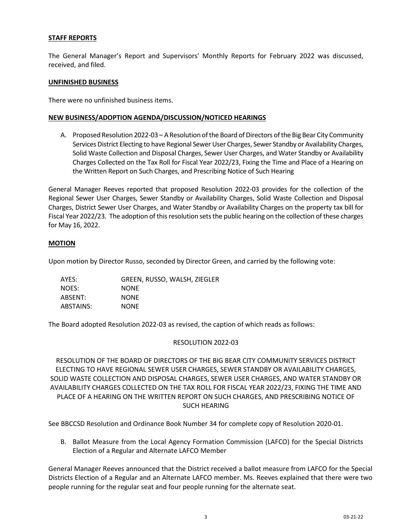### **STAFF REPORTS**

The General Manager's Report and Supervisors' Monthly Reports for February 2022 was discussed, received, and filed.

### **UNFINISHED BUSINESS**

There were no unfinished business items.

### **NEW BUSINESS/ADOPTION AGENDA/DISCUSSION/NOTICED HEARINGS**

A. Proposed Resolution 2022-03 – A Resolution of the Board of Directors of the Big Bear City Community Services District Electing to have Regional Sewer User Charges, Sewer Standby or Availability Charges, Solid Waste Collection and Disposal Charges, Sewer User Charges, and Water Standby or Availability Charges Collected on the Tax Roll for Fiscal Year 2022/23, Fixing the Time and Place of a Hearing on the Written Report on Such Charges, and Prescribing Notice of Such Hearing

General Manager Reeves reported that proposed Resolution 2022-03 provides for the collection of the Regional Sewer User Charges, Sewer Standby or Availability Charges, Solid Waste Collection and Disposal Charges, District Sewer User Charges, and Water Standby or Availability Charges on the property tax bill for Fiscal Year 2022/23. The adoption of this resolution sets the public hearing on the collection of these charges for May 16, 2022.

### **MOTION**

Upon motion by Director Russo, seconded by Director Green, and carried by the following vote:

| AYES:     | GREEN, RUSSO, WALSH, ZIEGLER |
|-----------|------------------------------|
| NOES:     | <b>NONE</b>                  |
| ABSENT:   | <b>NONE</b>                  |
| ABSTAINS: | <b>NONE</b>                  |

The Board adopted Resolution 2022-03 as revised, the caption of which reads as follows:

### RESOLUTION 2022-03

RESOLUTION OF THE BOARD OF DIRECTORS OF THE BIG BEAR CITY COMMUNITY SERVICES DISTRICT ELECTING TO HAVE REGIONAL SEWER USER CHARGES, SEWER STANDBY OR AVAILABILITY CHARGES, SOLID WASTE COLLECTION AND DISPOSAL CHARGES, SEWER USER CHARGES, AND WATER STANDBY OR AVAILABILITY CHARGES COLLECTED ON THE TAX ROLL FOR FISCAL YEAR 2022/23, FIXING THE TIME AND PLACE OF A HEARING ON THE WRITTEN REPORT ON SUCH CHARGES, AND PRESCRIBING NOTICE OF SUCH HEARING

See BBCCSD Resolution and Ordinance Book Number 34 for complete copy of Resolution 2020-01.

B. Ballot Measure from the Local Agency Formation Commission (LAFCO) for the Special Districts Election of a Regular and Alternate LAFCO Member

General Manager Reeves announced that the District received a ballot measure from LAFCO for the Special Districts Election of a Regular and an Alternate LAFCO member. Ms. Reeves explained that there were two people running for the regular seat and four people running for the alternate seat.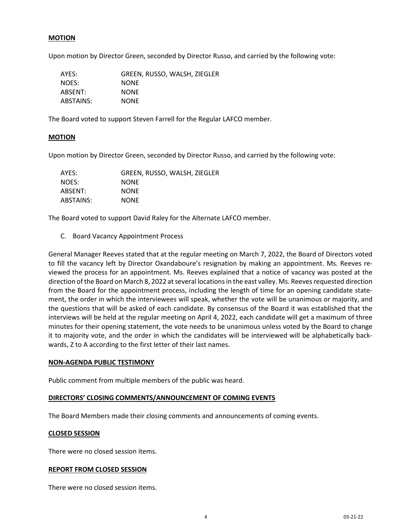### **MOTION**

Upon motion by Director Green, seconded by Director Russo, and carried by the following vote:

| AYES:     | GREEN, RUSSO, WALSH, ZIEGLER |
|-----------|------------------------------|
| NOES:     | <b>NONE</b>                  |
| ABSENT:   | <b>NONE</b>                  |
| ABSTAINS: | <b>NONE</b>                  |

The Board voted to support Steven Farrell for the Regular LAFCO member.

### **MOTION**

Upon motion by Director Green, seconded by Director Russo, and carried by the following vote:

| AYES:     | GREEN, RUSSO, WALSH, ZIEGLER |
|-----------|------------------------------|
| NOES:     | <b>NONE</b>                  |
| ABSENT:   | <b>NONE</b>                  |
| ABSTAINS: | <b>NONE</b>                  |

The Board voted to support David Raley for the Alternate LAFCO member.

C. Board Vacancy Appointment Process

General Manager Reeves stated that at the regular meeting on March 7, 2022, the Board of Directors voted to fill the vacancy left by Director Oxandaboure's resignation by making an appointment. Ms. Reeves reviewed the process for an appointment. Ms. Reeves explained that a notice of vacancy was posted at the direction of the Board on March 8, 2022 at several locations in the east valley. Ms. Reeves requested direction from the Board for the appointment process, including the length of time for an opening candidate statement, the order in which the interviewees will speak, whether the vote will be unanimous or majority, and the questions that will be asked of each candidate. By consensus of the Board it was established that the interviews will be held at the regular meeting on April 4, 2022, each candidate will get a maximum of three minutes for their opening statement, the vote needs to be unanimous unless voted by the Board to change it to majority vote, and the order in which the candidates will be interviewed will be alphabetically backwards, Z to A according to the first letter of their last names.

### **NON-AGENDA PUBLIC TESTIMONY**

Public comment from multiple members of the public was heard.

### **DIRECTORS' CLOSING COMMENTS/ANNOUNCEMENT OF COMING EVENTS**

The Board Members made their closing comments and announcements of coming events.

### **CLOSED SESSION**

There were no closed session items.

#### **REPORT FROM CLOSED SESSION**

There were no closed session items.